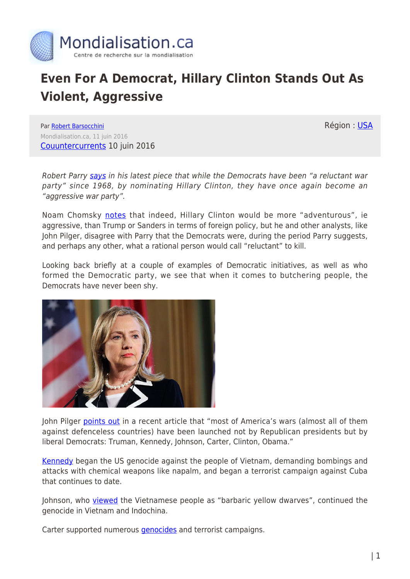

## **Even For A Democrat, Hillary Clinton Stands Out As Violent, Aggressive**

Région : [USA](https://www.mondialisation.ca/region/usa)

Par [Robert Barsocchini](https://www.mondialisation.ca/author/robert-barsocchini) Mondialisation.ca, 11 juin 2016 [Couuntercurrents](http://www.countercurrents.org/barsocchini100616.htm) 10 juin 2016

Robert Parry [says](http://www.washingtonsblog.com/2016/06/democrats-now-aggressive-war-party.html) in his latest piece that while the Democrats have been "a reluctant war party" since 1968, by nominating Hillary Clinton, they have once again become an "aggressive war party".

Noam Chomsky [notes](http://www.alternet.org/election-2016/chomsky-elections) that indeed, Hillary Clinton would be more "adventurous", ie aggressive, than Trump or Sanders in terms of foreign policy, but he and other analysts, like John Pilger, disagree with Parry that the Democrats were, during the period Parry suggests, and perhaps any other, what a rational person would call "reluctant" to kill.

Looking back briefly at a couple of examples of Democratic initiatives, as well as who formed the Democratic party, we see that when it comes to butchering people, the Democrats have never been shy.



John Pilger [points out](http://johnpilger.com/articles/a-world-war-has-begun-break-the-silence-) in a recent article that "most of America's wars (almost all of them against defenceless countries) have been launched not by Republican presidents but by liberal Democrats: Truman, Kennedy, Johnson, Carter, Clinton, Obama."

[Kennedy](https://www.youtube.com/watch?v=NdD9uSrNFT4) began the US genocide against the people of Vietnam, demanding bombings and attacks with chemical weapons like napalm, and began a terrorist campaign against Cuba that continues to date.

Johnson, who *viewed* the Vietnamese people as "barbaric yellow dwarves", continued the genocide in Vietnam and Indochina.

Carter supported numerous *genocides* and terrorist campaigns.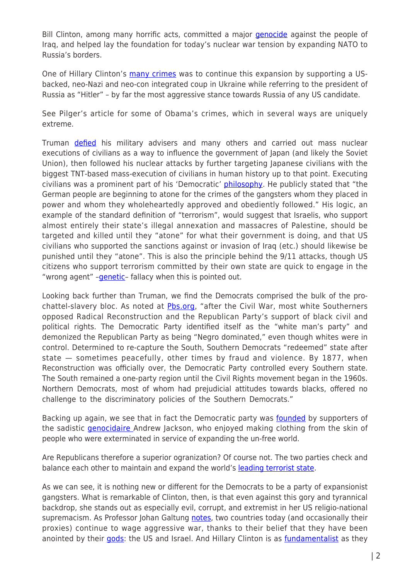Bill Clinton, among many horrific acts, committed a major *genocide* against the people of Iraq, and helped lay the foundation for today's nuclear war tension by expanding NATO to Russia's borders.

One of Hillary Clinton's [many crimes](http://prn.fm/robert-barsocchini-the-violent-crimes-and-shady-dealings-of-hillary-clinton/) was to continue this expansion by supporting a USbacked, neo-Nazi and neo-con integrated coup in Ukraine while referring to the president of Russia as "Hitler" – by far the most aggressive stance towards Russia of any US candidate.

See Pilger's article for some of Obama's crimes, which in several ways are uniquely extreme.

Truman [defied](https://www.youtube.com/watch?v=csDKShn0cQI) his military advisers and many others and carried out mass nuclear executions of civilians as a way to influence the government of Japan (and likely the Soviet Union), then followed his nuclear attacks by further targeting Japanese civilians with the biggest TNT-based mass-execution of civilians in human history up to that point. Executing civilians was a prominent part of his 'Democratic' [philosophy.](http://www.trumanlibrary.org/publicpapers/?pid=104) He publicly stated that "the German people are beginning to atone for the crimes of the gangsters whom they placed in power and whom they wholeheartedly approved and obediently followed." His logic, an example of the standard definition of "terrorism", would suggest that Israelis, who support almost entirely their state's illegal annexation and massacres of Palestine, should be targeted and killed until they "atone" for what their government is doing, and that US civilians who supported the sanctions against or invasion of Iraq (etc.) should likewise be punished until they "atone". This is also the principle behind the 9/11 attacks, though US citizens who support terrorism committed by their own state are quick to engage in the "wrong agent" -genetic- fallacy when this is pointed out.

Looking back further than Truman, we find the Democrats comprised the bulk of the prochattel-slavery bloc. As noted at [Pbs.org,](http://www.pbs.org/wnet/jimcrow/stories_org_democratic.html) "after the Civil War, most white Southerners opposed Radical Reconstruction and the Republican Party's support of black civil and political rights. The Democratic Party identified itself as the "white man's party" and demonized the Republican Party as being "Negro dominated," even though whites were in control. Determined to re-capture the South, Southern Democrats "redeemed" state after state — sometimes peacefully, other times by fraud and violence. By 1877, when Reconstruction was officially over, the Democratic Party controlled every Southern state. The South remained a one-party region until the Civil Rights movement began in the 1960s. Northern Democrats, most of whom had prejudicial attitudes towards blacks, offered no challenge to the discriminatory policies of the Southern Democrats."

Backing up again, we see that in fact the Democratic party was [founded](https://en.wikipedia.org/wiki/Andrew_Jackson) by supporters of the sadistic *genocidaire* Andrew Jackson, who enjoyed making clothing from the skin of people who were exterminated in service of expanding the un-free world.

Are Republicans therefore a superior ogranization? Of course not. The two parties check and balance each other to maintain and expand the world's [leading terrorist state](https://www.youtube.com/watch?v=P2lsEVlqts0).

As we can see, it is nothing new or different for the Democrats to be a party of expansionist gangsters. What is remarkable of Clinton, then, is that even against this gory and tyrannical backdrop, she stands out as especially evil, corrupt, and extremist in her US religio-national supremacism. As Professor Johan Galtung [notes](https://www.youtube.com/watch?v=xq7vZ2mKYec), two countries today (and occasionally their proxies) continue to wage aggressive war, thanks to their belief that they have been anointed by their [gods:](http://www.washingtonsblog.com/2016/05/father-western-economics-took-best-ideas-sharia-law.html) the US and Israel. And Hillary Clinton is as [fundamentalist](http://www.washingtonsblog.com/2016/06/democrats-now-aggressive-war-party.html) as they